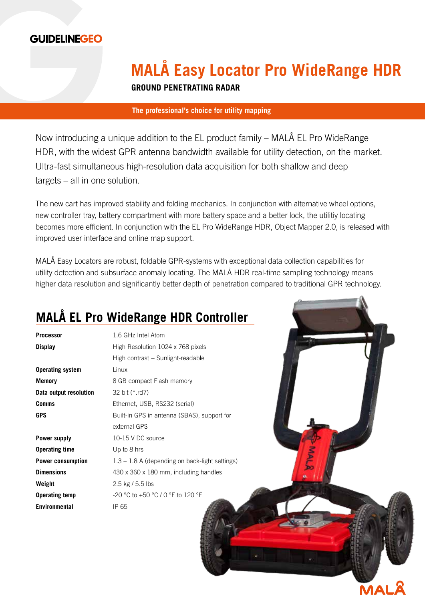

# **MALÅ Easy Locator Pro WideRange HDR**

**GROUND PENETRATING RADAR**

### **The professional's choice for utility mapping**

Now introducing a unique addition to the EL product family – MALÅ EL Pro WideRange HDR, with the widest GPR antenna bandwidth available for utility detection, on the market. Ultra-fast simultaneous high-resolution data acquisition for both shallow and deep targets – all in one solution.

The new cart has improved stability and folding mechanics. In conjunction with alternative wheel options, new controller tray, battery compartment with more battery space and a better lock, the utilitiy locating becomes more efficient. In conjunction with the EL Pro WideRange HDR, Object Mapper 2.0, is released with improved user interface and online map support.

MALÅ Easy Locators are robust, foldable GPR-systems with exceptional data collection capabilities for utility detection and subsurface anomaly locating. The MALÅ HDR real-time sampling technology means higher data resolution and significantly better depth of penetration compared to traditional GPR technology.

### **MALÅ EL Pro WideRange HDR Controller**

**Operating system Linux Data output resolution** 32 bit (\*.rd7)

**Operating time** Up to 8 hrs **Weight** 2.5 kg / 5.5 lbs **Environmental** IP 65

**Processor** 1.6 GHz Intel Atom **Display** High Resolution 1024 x 768 pixels High contrast − Sunlight-readable **Memory** 8 GB compact Flash memory **Comms** Ethernet, USB, RS232 (serial) GPS Built-in GPS in antenna (SBAS), support for external GPS **Power supply** 10-15 V DC source **Power consumption** 1.3 – 1.8 A (depending on back-light settings) **Dimensions** 430 x 360 x 180 mm, including handles **Operating temp** -20 °C to +50 °C / 0 °F to 120 °F